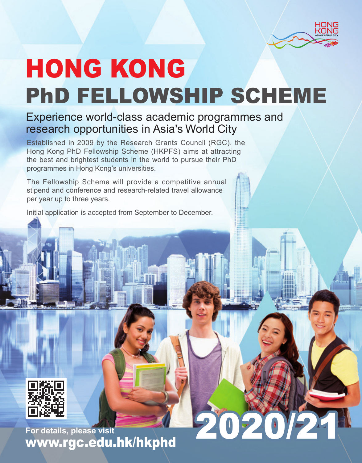

020

# HONG KONG PhD FELLOWSHIP SCHEME

# Experience world-class academic programmes and research opportunities in Asia's World City

Established in 2009 by the Research Grants Council (RGC), the Hong Kong PhD Fellowship Scheme (HKPFS) aims at attracting the best and brightest students in the world to pursue their PhD programmes in Hong Kong's universities.

The Fellowship Scheme will provide a competitive annual stipend and conference and research-related travel allowance per year up to three years.

Initial application is accepted from September to December.



**For details, please visit** www.rgc.edu.hk/hkphd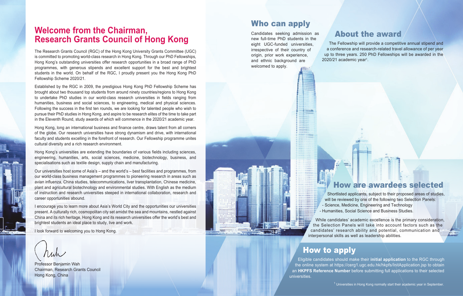# **Welcome from the Chairman, Research Grants Council of Hong Kong** About the award

The Research Grants Council (RGC) of the Hong Kong University Grants Committee (UGC) is committed to promoting world-class research in Hong Kong. Through our PhD Fellowships, Hong Kong's outstanding universities offer research opportunities in a broad range of PhD programmes, with generous stipends and excellent support for the best and brightest students in the world. On behalf of the RGC, I proudly present you the Hong Kong PhD Fellowship Scheme 2020/21.

Established by the RGC in 2009, the prestigious Hong Kong PhD Fellowship Scheme has brought about two thousand top students from around ninety countries/regions to Hong Kong to undertake PhD studies in our world-class research universities in fields ranging from humanities, business and social sciences, to engineering, medical and physical sciences. Following the success in the first ten rounds, we are looking for talented people who wish to pursue their PhD studies in Hong Kong, and aspire to be research elites of the time to take part in the Eleventh Round, study awards of which will commence in the 2020/21 academic year.

Hong Kong, long an international business and finance centre, draws talent from all corners of the globe. Our research universities have strong dynamism and drive, with international faculty and students excelling in the forefront of research. Our Fellowship programme unites cultural diversity and a rich research environment.

Hong Kong's universities are extending the boundaries of various fields including sciences, engineering, humanities, arts, social sciences, medicine, biotechnology, business, and specialisations such as textile design, supply chain and manufacturing.

Our universities host some of Asia's – and the world's – best facilities and programmes, from our world-class business management programmes to pioneering research in areas such as avian influenza, China studies, telecommunications, liver transplantation, Chinese medicine, plant and agricultural biotechnology and environmental studies. With English as the medium of instruction and research universities steeped in international collaboration, research and career opportunities abound.

I encourage you to learn more about Asia's World City and the opportunities our universities present. A culturally rich, cosmopolitan city set amidst the sea and mountains, nestled against China and its rich heritage, Hong Kong and its research universities offer the world's best and brightest students an ideal place to study, live and work.

I look forward to welcoming you to Hong Kong.

Professor Benjamin Wah Chairman, Research Grants Council Hong Kong, China

# Who can apply

Candidates seeking admission as new full-time PhD students in the eight UGC-funded universities, irrespective of their country of origin, prior work experience, and ethnic background are welcomed to apply.

The Fellowship will provide a competitive annual stipend and a conference and research-related travel allowance of per year up to three years. 250 PhD Fellowships will be awarded in the 2020/21 academic year<sup>1</sup>.



# How are awardees selected

Shortlisted applicants, subject to their proposed areas of studies, will be reviewed by one of the following two Selection Panels: - Science, Medicine, Engineering and Technology - Humanities, Social Science and Business Studies.

While candidates' academic excellence is the primary consideration, the Selection Panels will take into account factors such as the candidates' research ability and potential, communication and interpersonal skills as well as leadership abilities.

# How to apply

Eligible candidates should make their **initial application** to the RGC through the online system at https://cerg1.ugc.edu.hk/hkpfs/InitApplication.jsp to obtain an **HKPFS Reference Number** before submitting full applications to their selected universities.